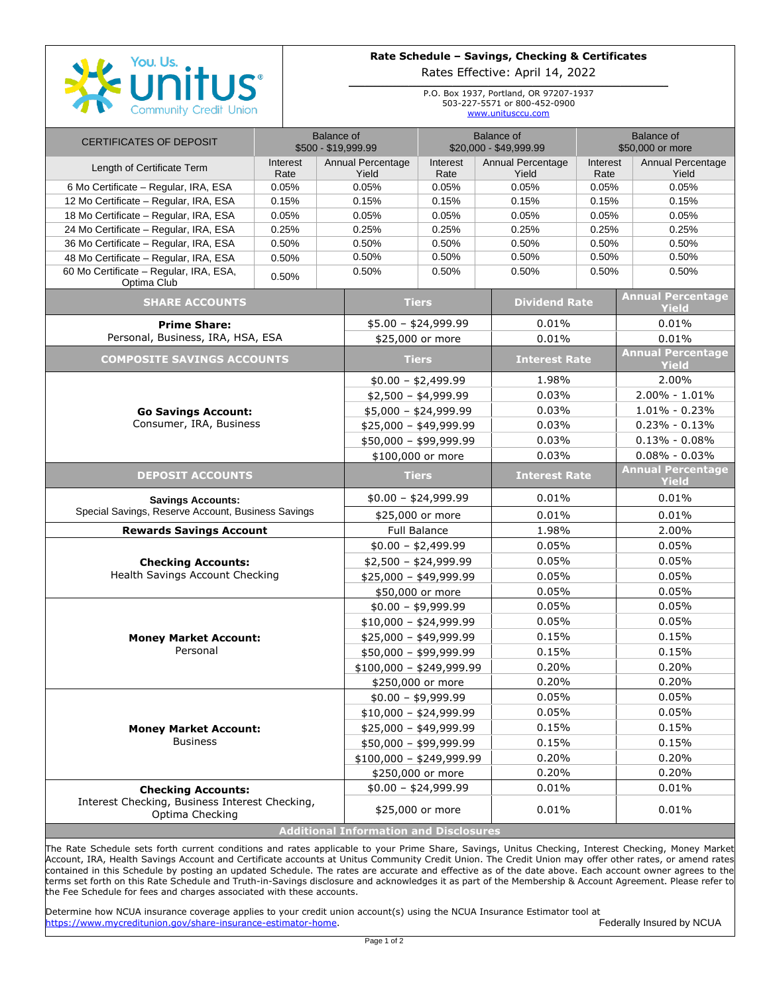

## **Rate Schedule – Savings, Checking & Certificates**

Rates Effective: April 14, 2022  $\mathcal{L}_\text{max}$ 

> P.O. Box 1937, Portland, OR 97207-1937 503-227-5571 or 800-452-0900 [www.unitusccu.com](http://www.unitusccu.com/)

| <b>CERTIFICATES OF DEPOSIT</b>                                                                 | <b>Balance of</b><br>\$500 - \$19,999.99 |                            | <b>Balance of</b><br>\$20,000 - \$49,999.99 |                                   | <b>Balance of</b><br>\$50,000 or more |                                          |
|------------------------------------------------------------------------------------------------|------------------------------------------|----------------------------|---------------------------------------------|-----------------------------------|---------------------------------------|------------------------------------------|
| Length of Certificate Term                                                                     | Interest<br>Rate                         | Annual Percentage<br>Yield | Interest<br>Rate                            | <b>Annual Percentage</b><br>Yield | Interest<br>Rate                      | Annual Percentage<br>Yield               |
| 6 Mo Certificate - Regular, IRA, ESA                                                           | 0.05%                                    | 0.05%                      | 0.05%                                       | 0.05%                             | 0.05%                                 | 0.05%                                    |
| 12 Mo Certificate - Regular, IRA, ESA                                                          | 0.15%                                    | 0.15%                      | 0.15%                                       | 0.15%                             | 0.15%                                 | 0.15%                                    |
| 18 Mo Certificate - Regular, IRA, ESA                                                          | 0.05%                                    | 0.05%                      | 0.05%                                       | 0.05%                             | 0.05%                                 | 0.05%                                    |
| 24 Mo Certificate - Regular, IRA, ESA                                                          | 0.25%                                    | 0.25%                      | 0.25%                                       | 0.25%                             | 0.25%                                 | 0.25%                                    |
| 36 Mo Certificate - Regular, IRA, ESA                                                          | 0.50%                                    | 0.50%                      | 0.50%                                       | 0.50%                             | 0.50%                                 | 0.50%                                    |
| 48 Mo Certificate - Regular, IRA, ESA                                                          | 0.50%                                    | 0.50%                      | 0.50%                                       | 0.50%                             | 0.50%                                 | 0.50%                                    |
| 60 Mo Certificate - Regular, IRA, ESA,<br>Optima Club                                          | 0.50%                                    | 0.50%                      | 0.50%                                       | 0.50%                             | 0.50%                                 | 0.50%                                    |
| <b>SHARE ACCOUNTS</b>                                                                          |                                          |                            | <b>Tiers</b>                                |                                   | <b>Dividend Rate</b>                  | <b>Annual Percentage</b><br>Yield        |
| <b>Prime Share:</b>                                                                            |                                          | $$5.00 - $24,999.99$       |                                             |                                   | 0.01%                                 |                                          |
| Personal, Business, IRA, HSA, ESA                                                              |                                          |                            | \$25,000 or more                            |                                   |                                       | 0.01%                                    |
| <b>COMPOSITE SAVINGS ACCOUNTS</b>                                                              |                                          | <b>Tiers</b>               |                                             | <b>Interest Rate</b>              | <b>Annual Percentage</b><br>Yield     |                                          |
|                                                                                                |                                          | $$0.00 - $2,499.99$        |                                             |                                   | 2.00%                                 |                                          |
|                                                                                                |                                          | $$2,500 - $4,999.99$       |                                             |                                   | 2.00% - 1.01%                         |                                          |
| <b>Go Savings Account:</b>                                                                     |                                          | $$5,000 - $24,999.99$      |                                             |                                   | $1.01\% - 0.23\%$                     |                                          |
| Consumer, IRA, Business                                                                        |                                          | $$25,000 - $49,999.99$     |                                             |                                   | $0.23% - 0.13%$                       |                                          |
|                                                                                                |                                          |                            | $$50,000 - $99,999.99$                      |                                   |                                       | $0.13\% - 0.08\%$                        |
|                                                                                                |                                          | \$100,000 or more          |                                             |                                   | $0.08\% - 0.03\%$                     |                                          |
| <b>DEPOSIT ACCOUNTS</b>                                                                        |                                          |                            | <b>Tiers</b>                                |                                   | <b>Interest Rate</b>                  | <b>Annual Percentage</b><br><b>Yield</b> |
| <b>Savings Accounts:</b><br>Special Savings, Reserve Account, Business Savings                 |                                          |                            | $$0.00 - $24,999.99$                        |                                   |                                       | 0.01%                                    |
|                                                                                                |                                          |                            | \$25,000 or more                            |                                   |                                       | 0.01%                                    |
| <b>Rewards Savings Account</b>                                                                 |                                          | <b>Full Balance</b>        |                                             |                                   | 2.00%                                 |                                          |
| <b>Checking Accounts:</b><br>Health Savings Account Checking                                   |                                          |                            | $$0.00 - $2,499.99$                         |                                   |                                       | 0.05%                                    |
|                                                                                                |                                          |                            | $$2,500 - $24,999.99$                       |                                   |                                       | 0.05%                                    |
|                                                                                                |                                          |                            | $$25,000 - $49,999.99$                      |                                   |                                       | 0.05%                                    |
|                                                                                                |                                          |                            | \$50,000 or more                            |                                   |                                       | 0.05%                                    |
|                                                                                                |                                          |                            | $$0.00 - $9,999.99$                         |                                   |                                       | 0.05%                                    |
|                                                                                                |                                          | $$10,000 - $24,999.99$     |                                             |                                   | 0.05%                                 |                                          |
| <b>Money Market Account:</b>                                                                   |                                          | $$25,000 - $49,999.99$     |                                             |                                   | 0.15%                                 |                                          |
| Personal                                                                                       |                                          |                            | $$50,000 - $99,999.99$                      |                                   |                                       | 0.15%                                    |
|                                                                                                |                                          |                            | $$100,000 - $249,999.99$                    |                                   |                                       | 0.20%                                    |
|                                                                                                |                                          |                            | \$250,000 or more                           | 0.20%                             |                                       | 0.20%                                    |
|                                                                                                |                                          |                            | $$0.00 - $9,999.99$                         |                                   |                                       | 0.05%                                    |
| <b>Money Market Account:</b>                                                                   |                                          |                            | $$10,000 - $24,999.99$                      |                                   |                                       | 0.05%                                    |
|                                                                                                |                                          |                            | $$25,000 - $49,999.99$                      |                                   |                                       | 0.15%                                    |
| <b>Business</b>                                                                                |                                          |                            | $$50,000 - $99,999.99$                      |                                   |                                       | 0.15%                                    |
|                                                                                                |                                          |                            | $$100,000 - $249,999.99$                    |                                   |                                       | 0.20%                                    |
|                                                                                                |                                          |                            | \$250,000 or more                           |                                   |                                       | 0.20%                                    |
| <b>Checking Accounts:</b><br>Interest Checking, Business Interest Checking,<br>Optima Checking |                                          |                            | $$0.00 - $24,999.99$                        |                                   |                                       | 0.01%                                    |
|                                                                                                |                                          |                            | \$25,000 or more                            |                                   | 0.01%<br>0.01%                        |                                          |
| <b>Additional Information and Disclosures</b>                                                  |                                          |                            |                                             |                                   |                                       |                                          |

The Rate Schedule sets forth current conditions and rates applicable to your Prime Share, Savings, Unitus Checking, Interest Checking, Money Market Account, IRA, Health Savings Account and Certificate accounts at Unitus Community Credit Union. The Credit Union may offer other rates, or amend rates contained in this Schedule by posting an updated Schedule. The rates are accurate and effective as of the date above. Each account owner agrees to the terms set forth on this Rate Schedule and Truth-in-Savings disclosure and acknowledges it as part of the Membership & Account Agreement. Please refer to the Fee Schedule for fees and charges associated with these accounts.

Determine how NCUA insurance coverage applies to your credit union account(s) using the NCUA Insurance Estimator tool at<br>https://www.mycreditunion.gov/share-insurance-estimator-home. [https://www.mycreditunion.gov/share-insurance-estimator-home.](https://www.mycreditunion.gov/share-insurance-estimator-home)